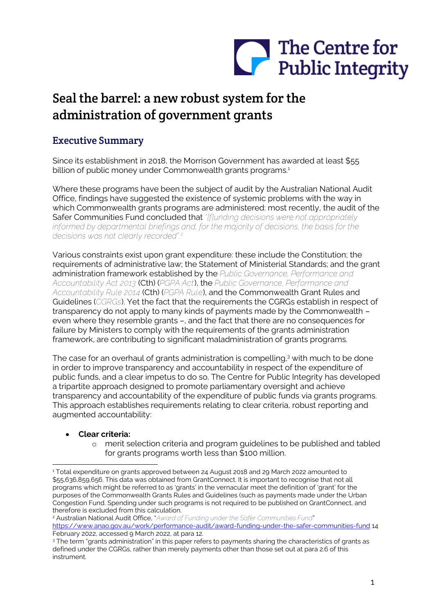

# Seal the barrel: a new robust system for the administration of government grants

# Executive Summary

Since its establishment in 2018, the Morrison Government has awarded at least \$55 billion of public money under Commonwealth grants programs.<sup>1</sup>

Where these programs have been the subject of audit by the Australian National Audit Office, findings have suggested the existence of systemic problems with the way in which Commonwealth grants programs are administered: most recently, the audit of the Safer Communities Fund concluded that *"[f]unding decisions were not appropriately informed by departmental briefings and, for the majority of decisions, the basis for the decisions was not clearly recorded".<sup>2</sup>*

Various constraints exist upon grant expenditure: these include the Constitution; the requirements of administrative law; the Statement of Ministerial Standards; and the grant administration framework established by the *Public Governance, Performance and Accountability Act 2013* (Cth) (*PGPA Act*), the *Public Governance, Performance and Accountability Rule 2014* (Cth) (*PGPA Rule*), and the Commonwealth Grant Rules and Guidelines (*CGRGs*). Yet the fact that the requirements the CGRGs establish in respect of transparency do not apply to many kinds of payments made by the Commonwealth – even where they resemble grants –, and the fact that there are no consequences for failure by Ministers to comply with the requirements of the grants administration framework, are contributing to significant maladministration of grants programs.

The case for an overhaul of grants administration is compelling,<sup>3</sup> with much to be done in order to improve transparency and accountability in respect of the expenditure of public funds, and a clear impetus to do so. The Centre for Public Integrity has developed a tripartite approach designed to promote parliamentary oversight and achieve transparency and accountability of the expenditure of public funds via grants programs. This approach establishes requirements relating to clear criteria, robust reporting and augmented accountability:

# • **Clear criteria:**

o merit selection criteria and program guidelines to be published and tabled for grants programs worth less than \$100 million.

<sup>1</sup> Total expenditure on grants approved between 24 August 2018 and 29 March 2022 amounted to \$55,636,859,656. This data was obtained from GrantConnect. It is important to recognise that not all programs which might be referred to as 'grants' in the vernacular meet the definition of 'grant' for the purposes of the Commonwealth Grants Rules and Guidelines (such as payments made under the Urban Congestion Fund. Spending under such programs is not required to be published on GrantConnect, and therefore is excluded from this calculation.

<sup>2</sup> Australian National Audit Office, "*Award of Funding under the Safer Communities Fund*" <https://www.anao.gov.au/work/performance-audit/award-funding-under-the-safer-communities-fund> 14 February 2022, accessed 9 March 2022, at para 12.

<sup>3</sup> The term "grants administration" in this paper refers to payments sharing the characteristics of grants as defined under the CGRGs, rather than merely payments other than those set out at para 2.6 of this instrument.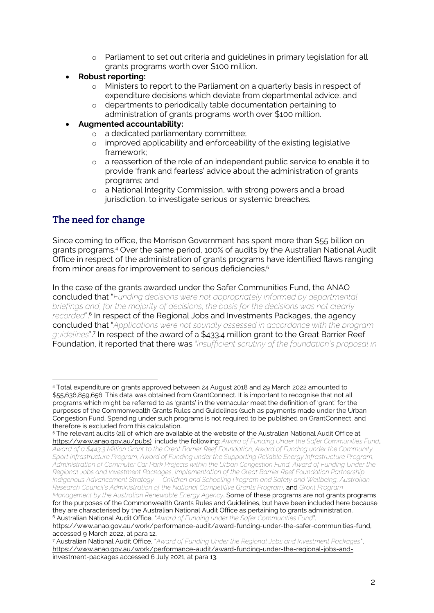- o Parliament to set out criteria and guidelines in primary legislation for all grants programs worth over \$100 million.
- **Robust reporting:**
	- o Ministers to report to the Parliament on a quarterly basis in respect of expenditure decisions which deviate from departmental advice; and
	- o departments to periodically table documentation pertaining to administration of grants programs worth over \$100 million.

### • **Augmented accountability:**

- o a dedicated parliamentary committee;
- o improved applicability and enforceability of the existing legislative framework;
- o a reassertion of the role of an independent public service to enable it to provide 'frank and fearless' advice about the administration of grants programs; and
- o a National Integrity Commission, with strong powers and a broad jurisdiction, to investigate serious or systemic breaches.

# The need for change

Since coming to office, the Morrison Government has spent more than \$55 billion on grants programs.<sup>4</sup> Over the same period, 100% of audits by the Australian National Audit Office in respect of the administration of grants programs have identified flaws ranging from minor areas for improvement to serious deficiencies.<sup>5</sup>

In the case of the grants awarded under the Safer Communities Fund, the ANAO concluded that "*Funding decisions were not appropriately informed by departmental briefings and, for the majority of decisions, the basis for the decisions was not clearly recorded*".<sup>6</sup> In respect of the Regional Jobs and Investments Packages, the agency concluded that "*Applications were not soundly assessed in accordance with the program guidelines*".<sup>7</sup> In respect of the award of a \$433.4 million grant to the Great Barrier Reef Foundation, it reported that there was "*insufficient scrutiny of the foundation's proposal in* 

<sup>4</sup> Total expenditure on grants approved between 24 August 2018 and 29 March 2022 amounted to \$55,636,859,656. This data was obtained from GrantConnect. It is important to recognise that not all programs which might be referred to as 'grants' in the vernacular meet the definition of 'grant' for the purposes of the Commonwealth Grants Rules and Guidelines (such as payments made under the Urban Congestion Fund. Spending under such programs is not required to be published on GrantConnect, and therefore is excluded from this calculation.

<sup>5</sup> The relevant audits (all of which are available at the website of the Australian National Audit Office at [https://www.anao.gov.au/pubs\)](https://www.anao.gov.au/pubs)) include the following: *Award of Funding Under the Safer Communities Fund*, *Award of a \$443.3 Million Grant to the Great Barrier Reef Foundation, Award of Funding under the Community Sport Infrastructure Program, Award of Funding under the Supporting Reliable Energy Infrastructure Program, Administration of Commuter Car Park Projects within the Urban Congestion Fund, Award of Funding Under the Regional Jobs and Investment Packages, Implementation of the Great Barrier Reef Foundation Partnership, Indigenous Advancement Strategy — Children and Schooling Program and Safety and Wellbeing, Australian Research Council's Administration of the National Competitive Grants Program*, and *Grant Program Management by the Australian Renewable Energy Agency*. Some of these programs are not grants programs

for the purposes of the Commonwealth Grants Rules and Guidelines, but have been included here because they are characterised by the Australian National Audit Office as pertaining to grants administration. <sup>6</sup> Australian National Audit Office, "*Award of Funding under the Safer Communities Fund*",

[https://www.anao.gov.au/work/performance-audit/award-funding-under-the-safer-communities-fund,](https://www.anao.gov.au/work/performance-audit/award-funding-under-the-safer-communities-fund)  accessed 9 March 2022, at para 12.

<sup>7</sup> Australian National Audit Office, "*Award of Funding Under the Regional Jobs and Investment Packages*", [https://www.anao.gov.au/work/performance-audit/award-funding-under-the-regional-jobs-and](https://www.anao.gov.au/work/performance-audit/award-funding-under-the-regional-jobs-and-investment-packages)[investment-packages](https://www.anao.gov.au/work/performance-audit/award-funding-under-the-regional-jobs-and-investment-packages) accessed 6 July 2021, at para 13.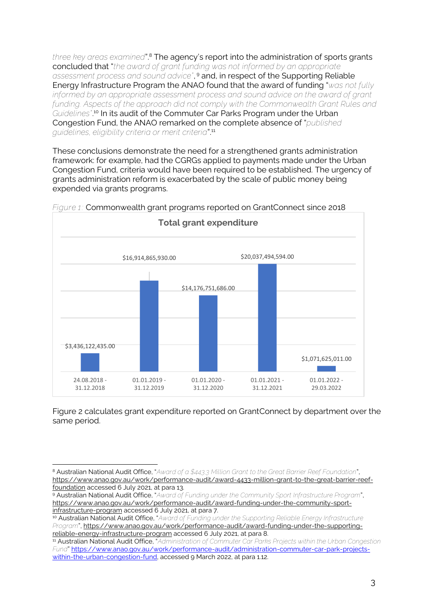*three key areas examined*".<sup>8</sup> The agency's report into the administration of sports grants concluded that "*the award of grant funding was not informed by an appropriate assessment process and sound advice"*, <sup>9</sup> and, in respect of the Supporting Reliable Energy Infrastructure Program the ANAO found that the award of funding "*was not fully informed by an appropriate assessment process and sound advice on the award of grant*  funding. Aspects of the approach did not comply with the Commonwealth Grant Rules and *Guidelines"*. <sup>10</sup> In its audit of the Commuter Car Parks Program under the Urban Congestion Fund, the ANAO remarked on the complete absence of "*published guidelines, eligibility criteria or merit criteria*".<sup>11</sup>

These conclusions demonstrate the need for a strengthened grants administration framework: for example, had the CGRGs applied to payments made under the Urban Congestion Fund, criteria would have been required to be established. The urgency of grants administration reform is exacerbated by the scale of public money being expended via grants programs.



*Figure 1:* Commonwealth grant programs reported on GrantConnect since 2018

Figure 2 calculates grant expenditure reported on GrantConnect by department over the same period.

<sup>9</sup> Australian National Audit Office, "*Award of Funding under the Community Sport Infrastructure Program*", [https://www.anao.gov.au/work/performance-audit/award-funding-under-the-community-sport](https://www.anao.gov.au/work/performance-audit/award-funding-under-the-community-sport-infrastructure-program)[infrastructure-program](https://www.anao.gov.au/work/performance-audit/award-funding-under-the-community-sport-infrastructure-program) accessed 6 July 2021, at para 7.

<sup>10</sup> Australian National Audit Office, "*Award of Funding under the Supporting Reliable Energy Infrastructure* 

*Program*", [https://www.anao.gov.au/work/performance-audit/award-funding-under-the-supporting](https://www.anao.gov.au/work/performance-audit/award-funding-under-the-supporting-reliable-energy-infrastructure-program)[reliable-energy-infrastructure-program](https://www.anao.gov.au/work/performance-audit/award-funding-under-the-supporting-reliable-energy-infrastructure-program) accessed 6 July 2021, at para 8.

<sup>8</sup> Australian National Audit Office, "*Award of a \$443.3 Million Grant to the Great Barrier Reef Foundation*", [https://www.anao.gov.au/work/performance-audit/award-4433-million-grant-to-the-great-barrier-reef](https://www.anao.gov.au/work/performance-audit/award-4433-million-grant-to-the-great-barrier-reef-foundation)[foundation](https://www.anao.gov.au/work/performance-audit/award-4433-million-grant-to-the-great-barrier-reef-foundation) accessed 6 July 2021, at para 13.

<sup>11</sup> Australian National Audit Office, "*Administration of Commuter Car Parks Projects within the Urban Congestion Fund*" [https://www.anao.gov.au/work/performance-audit/administration-commuter-car-park-projects](https://www.anao.gov.au/work/performance-audit/administration-commuter-car-park-projects-within-the-urban-congestion-fund)[within-the-urban-congestion-fund,](https://www.anao.gov.au/work/performance-audit/administration-commuter-car-park-projects-within-the-urban-congestion-fund) accessed 9 March 2022, at para 1.12.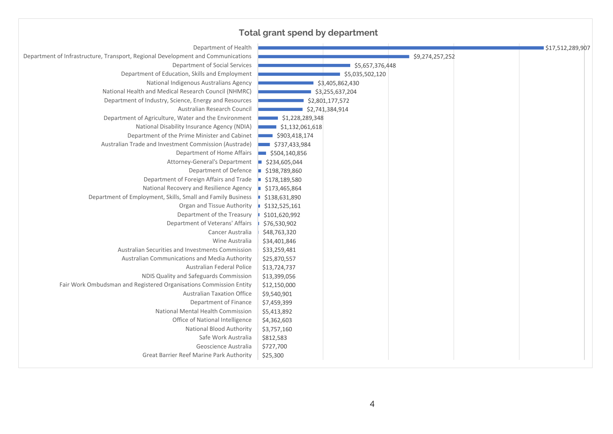# **Total grant spend by department**

| Department of Health                                                             |                               | \$17,512,289,907 |
|----------------------------------------------------------------------------------|-------------------------------|------------------|
| Department of Infrastructure, Transport, Regional Development and Communications |                               | \$9,274,257,252  |
| Department of Social Services                                                    | \$5,657,376,448               |                  |
| Department of Education, Skills and Employment                                   | \$5,035,502,120               |                  |
| National Indigenous Australians Agency                                           | \$3,405,862,430               |                  |
| National Health and Medical Research Council (NHMRC)                             | \$3,255,637,204               |                  |
| Department of Industry, Science, Energy and Resources                            | \$2,801,177,572               |                  |
| Australian Research Council                                                      | \$2,741,384,914               |                  |
| Department of Agriculture, Water and the Environment                             | $\frac{1}{2}$ \$1,228,289,348 |                  |
| National Disability Insurance Agency (NDIA)                                      | \$1,132,061,618               |                  |
| Department of the Prime Minister and Cabinet                                     | \$903,418,174                 |                  |
| Australian Trade and Investment Commission (Austrade)                            | \$737,433,984                 |                  |
| Department of Home Affairs                                                       | \$504,140,856                 |                  |
| Attorney-General's Department                                                    | \$234,605,044                 |                  |
| Department of Defence                                                            | \$198,789,860<br>ш            |                  |
| Department of Foreign Affairs and Trade                                          | \$178,189,580<br>ш            |                  |
| National Recovery and Resilience Agency                                          | \$173,465,864                 |                  |
| Department of Employment, Skills, Small and Family Business                      | \$138,631,890                 |                  |
| Organ and Tissue Authority                                                       | \$132,525,161                 |                  |
| Department of the Treasury                                                       | \$101,620,992                 |                  |
| Department of Veterans' Affairs                                                  | \$76,530,902                  |                  |
| Cancer Australia                                                                 | \$48,763,320                  |                  |
| Wine Australia                                                                   | \$34,401,846                  |                  |
| Australian Securities and Investments Commission                                 | \$33,259,481                  |                  |
| Australian Communications and Media Authority                                    | \$25,870,557                  |                  |
| Australian Federal Police                                                        | \$13,724,737                  |                  |
| NDIS Quality and Safeguards Commission                                           | \$13,399,056                  |                  |
| Fair Work Ombudsman and Registered Organisations Commission Entity               | \$12,150,000                  |                  |
| <b>Australian Taxation Office</b>                                                | \$9,540,901                   |                  |
| Department of Finance                                                            | \$7,459,399                   |                  |
| National Mental Health Commission                                                | \$5,413,892                   |                  |
| Office of National Intelligence                                                  | \$4,362,603                   |                  |
| National Blood Authority                                                         | \$3,757,160                   |                  |
| Safe Work Australia                                                              | \$812,583                     |                  |
| Geoscience Australia                                                             | \$727,700                     |                  |
| Great Barrier Reef Marine Park Authority                                         | \$25,300                      |                  |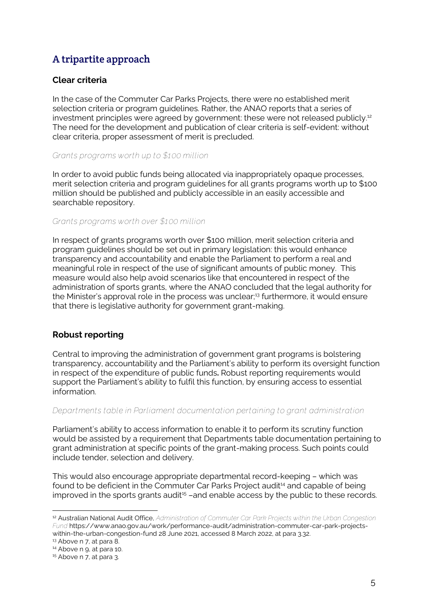# A tripartite approach

# **Clear criteria**

In the case of the Commuter Car Parks Projects, there were no established merit selection criteria or program guidelines. Rather, the ANAO reports that a series of investment principles were agreed by government: these were not released publicly.<sup>12</sup> The need for the development and publication of clear criteria is self-evident: without clear criteria, proper assessment of merit is precluded.

#### *Grants programs worth up to \$100 million*

In order to avoid public funds being allocated via inappropriately opaque processes, merit selection criteria and program guidelines for all grants programs worth up to \$100 million should be published and publicly accessible in an easily accessible and searchable repository.

#### *Grants programs worth over \$100 million*

In respect of grants programs worth over \$100 million, merit selection criteria and program guidelines should be set out in primary legislation: this would enhance transparency and accountability and enable the Parliament to perform a real and meaningful role in respect of the use of significant amounts of public money. This measure would also help avoid scenarios like that encountered in respect of the administration of sports grants, where the ANAO concluded that the legal authority for the Minister's approval role in the process was unclear;<sup>13</sup> furthermore, it would ensure that there is legislative authority for government grant-making.

# **Robust reporting**

Central to improving the administration of government grant programs is bolstering transparency, accountability and the Parliament's ability to perform its oversight function in respect of the expenditure of public funds**.** Robust reporting requirements would support the Parliament's ability to fulfil this function, by ensuring access to essential information.

#### *Departments table in Parliament documentation pertaining to grant administration*

Parliament's ability to access information to enable it to perform its scrutiny function would be assisted by a requirement that Departments table documentation pertaining to grant administration at specific points of the grant-making process. Such points could include tender, selection and delivery.

This would also encourage appropriate departmental record-keeping – which was found to be deficient in the Commuter Car Parks Project audit<sup>14</sup> and capable of being improved in the sports grants audit<sup>15</sup>-and enable access by the public to these records.

<sup>13</sup> Above n 7, at para 8.

<sup>12</sup> Australian National Audit Office, *Administration of Commuter Car Park Projects within the Urban Congestion Fund* https://www.anao.gov.au/work/performance-audit/administration-commuter-car-park-projectswithin-the-urban-congestion-fund 28 June 2021, accessed 8 March 2022, at para 3.32.

<sup>14</sup> Above n 9, at para 10.

<sup>&</sup>lt;sup>15</sup> Above n 7, at para 3.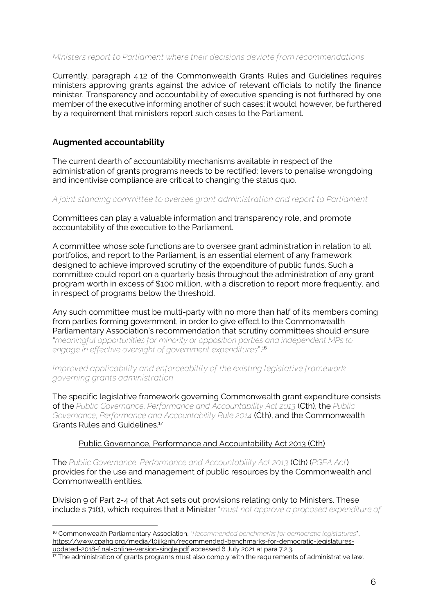#### *Ministers report to Parliament where their decisions deviate from recommendations*

Currently, paragraph 4.12 of the Commonwealth Grants Rules and Guidelines requires ministers approving grants against the advice of relevant officials to notify the finance minister. Transparency and accountability of executive spending is not furthered by one member of the executive informing another of such cases: it would, however, be furthered by a requirement that ministers report such cases to the Parliament.

# **Augmented accountability**

The current dearth of accountability mechanisms available in respect of the administration of grants programs needs to be rectified: levers to penalise wrongdoing and incentivise compliance are critical to changing the status quo.

#### *A joint standing committee to oversee grant administration and report to Parliament*

Committees can play a valuable information and transparency role, and promote accountability of the executive to the Parliament.

A committee whose sole functions are to oversee grant administration in relation to all portfolios, and report to the Parliament, is an essential element of any framework designed to achieve improved scrutiny of the expenditure of public funds. Such a committee could report on a quarterly basis throughout the administration of any grant program worth in excess of \$100 million, with a discretion to report more frequently, and in respect of programs below the threshold.

Any such committee must be multi-party with no more than half of its members coming from parties forming government, in order to give effect to the Commonwealth Parliamentary Association's recommendation that scrutiny committees should ensure "*meaningful opportunities for minority or opposition parties and independent MPs to engage in effective oversight of government expenditures*".<sup>16</sup>

*Improved applicability and enforceability of the existing legislative framework governing grants administration* 

The specific legislative framework governing Commonwealth grant expenditure consists of the *Public Governance, Performance and Accountability Act 2013* (Cth), the *Public Governance, Performance and Accountability Rule 2014* (Cth), and the Commonwealth Grants Rules and Guidelines.<sup>17</sup>

#### Public Governance, Performance and Accountability Act 2013 (Cth)

The *Public Governance, Performance and Accountability Act 2013* (Cth) (*PGPA Act*) provides for the use and management of public resources by the Commonwealth and Commonwealth entities.

Division 9 of Part 2-4 of that Act sets out provisions relating only to Ministers. These include s 71(1), which requires that a Minister "*must not approve a proposed expenditure of* 

<sup>16</sup> Commonwealth Parliamentary Association, "*Recommended benchmarks for democratic legislatures*", [https://www.cpahq.org/media/l0jjk2nh/recommended-benchmarks-for-democratic-legislatures](https://www.cpahq.org/media/l0jjk2nh/recommended-benchmarks-for-democratic-legislatures-updated-2018-final-online-version-single.pdf)[updated-2018-final-online-version-single.pdf](https://www.cpahq.org/media/l0jjk2nh/recommended-benchmarks-for-democratic-legislatures-updated-2018-final-online-version-single.pdf) accessed 6 July 2021 at para 7.2.3.

<sup>&</sup>lt;sup>17</sup> The administration of grants programs must also comply with the requirements of administrative law.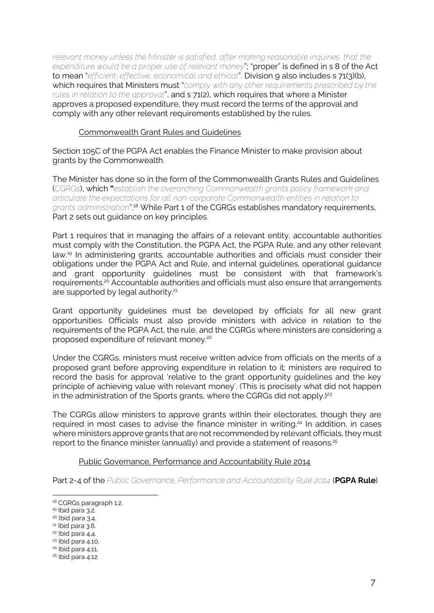*relevant money unless the Minister is satisfied, after making reasonable inquiries, that the expenditure would be a proper use of relevant money*"; "proper" is defined in s 8 of the Act to mean "*efficient, effective, economical and ethical*". Division 9 also includes s 71(3)(b), which requires that Ministers must "*comply with any other requirements prescribed by the rules in relation to the approval*", and s 71(2), which requires that where a Minister approves a proposed expenditure, they must record the terms of the approval and comply with any other relevant requirements established by the rules.

#### Commonwealth Grant Rules and Guidelines

Section 105C of the PGPA Act enables the Finance Minister to make provision about grants by the Commonwealth.

The Minister has done so in the form of the Commonwealth Grants Rules and Guidelines (*CGRGs*), which **"***establish the overarching Commonwealth grants policy framework and articulate the expectations for all non-corporate Commonwealth entities in relation to grants administration*".<sup>18</sup> While Part 1 of the CGRGs establishes mandatory requirements, Part 2 sets out guidance on key principles.

Part 1 requires that in managing the affairs of a relevant entity, accountable authorities must comply with the Constitution, the PGPA Act, the PGPA Rule, and any other relevant law. <sup>19</sup> In administering grants, accountable authorities and officials must consider their obligations under the PGPA Act and Rule, and internal guidelines, operational guidance and grant opportunity guidelines must be consistent with that framework's requirements. <sup>20</sup> Accountable authorities and officials must also ensure that arrangements are supported by legal authority.<sup>21</sup>

Grant opportunity guidelines must be developed by officials for all new grant opportunities. Officials must also provide ministers with advice in relation to the requirements of the PGPA Act, the rule, and the CGRGs where ministers are considering a proposed expenditure of relevant money. 22

Under the CGRGs, ministers must receive written advice from officials on the merits of a proposed grant before approving expenditure in relation to it; ministers are required to record the basis for approval 'relative to the grant opportunity guidelines and the key principle of achieving value with relevant money'. (This is precisely what did not happen in the administration of the Sports grants, where the CGRGs did not apply.) 23

The CGRGs allow ministers to approve grants within their electorates, though they are required in most cases to advise the finance minister in writing.<sup>24</sup> In addition, in cases where ministers approve grants that are not recommended by relevant officials, they must report to the finance minister (annually) and provide a statement of reasons. 25

#### Public Governance, Performance and Accountability Rule 2014

Part 2-4 of the *Public Governance, Performance and Accountability Rule 2014* (**PGPA Rule**)

<sup>&</sup>lt;sup>18</sup> CGRGs paragraph 1.2.

<sup>19</sup> Ibid para 3.2.

<sup>20</sup> Ibid para 3.4.

<sup>21</sup> Ibid para 3.6.

<sup>22</sup> Ibid para 4.4.

<sup>23</sup> Ibid para 4.10.

<sup>24</sup> Ibid para 4.11.

<sup>25</sup> Ibid para 4.12.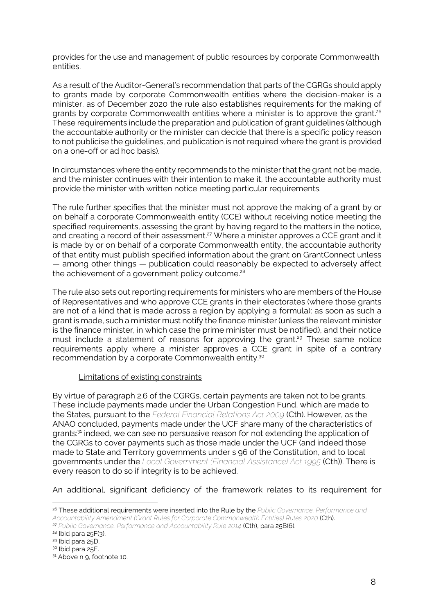provides for the use and management of public resources by corporate Commonwealth entities.

As a result of the Auditor-General's recommendation that parts of the CGRGs should apply to grants made by corporate Commonwealth entities where the decision-maker is a minister, as of December 2020 the rule also establishes requirements for the making of grants by corporate Commonwealth entities where a minister is to approve the grant. 26 These requirements include the preparation and publication of grant guidelines (although the accountable authority or the minister can decide that there is a specific policy reason to not publicise the guidelines, and publication is not required where the grant is provided on a one-off or ad hoc basis).

In circumstances where the entity recommends to the minister that the grant not be made, and the minister continues with their intention to make it, the accountable authority must provide the minister with written notice meeting particular requirements.

The rule further specifies that the minister must not approve the making of a grant by or on behalf a corporate Commonwealth entity (CCE) without receiving notice meeting the specified requirements, assessing the grant by having regard to the matters in the notice, and creating a record of their assessment. <sup>27</sup> Where a minister approves a CCE grant and it is made by or on behalf of a corporate Commonwealth entity, the accountable authority of that entity must publish specified information about the grant on GrantConnect unless — among other things — publication could reasonably be expected to adversely affect the achievement of a government policy outcome. 28

The rule also sets out reporting requirements for ministers who are members of the House of Representatives and who approve CCE grants in their electorates (where those grants are not of a kind that is made across a region by applying a formula): as soon as such a grant is made, such a minister must notify the finance minister (unless the relevant minister is the finance minister, in which case the prime minister must be notified), and their notice must include a statement of reasons for approving the grant. <sup>29</sup> These same notice requirements apply where a minister approves a CCE grant in spite of a contrary recommendation by a corporate Commonwealth entity.<sup>30</sup>

#### Limitations of existing constraints

By virtue of paragraph 2.6 of the CGRGs, certain payments are taken not to be grants. These include payments made under the Urban Congestion Fund, which are made to the States, pursuant to the *Federal Financial Relations Act 2009* (Cth). However, as the ANAO concluded, payments made under the UCF share many of the characteristics of grants:<sup>31</sup> indeed, we can see no persuasive reason for not extending the application of the CGRGs to cover payments such as those made under the UCF (and indeed those made to State and Territory governments under s 96 of the Constitution, and to local governments under the *Local Government (Financial Assistance) Act 1995* (Cth)). There is every reason to do so if integrity is to be achieved.

An additional, significant deficiency of the framework relates to its requirement for

<sup>26</sup> These additional requirements were inserted into the Rule by the *Public Governance, Performance and Accountability Amendment (Grant Rules for Corporate Commonwealth Entities) Rules 2020* (Cth).

<sup>27</sup> *Public Governance, Performance and Accountability Rule 2014* (Cth), para 25B(6).

 $28$  Ibid para  $25F(3)$ .

<sup>29</sup> Ibid para 25D.

<sup>&</sup>lt;sup>30</sup> Ibid para 25E.

<sup>&</sup>lt;sup>31</sup> Above n 9, footnote 10.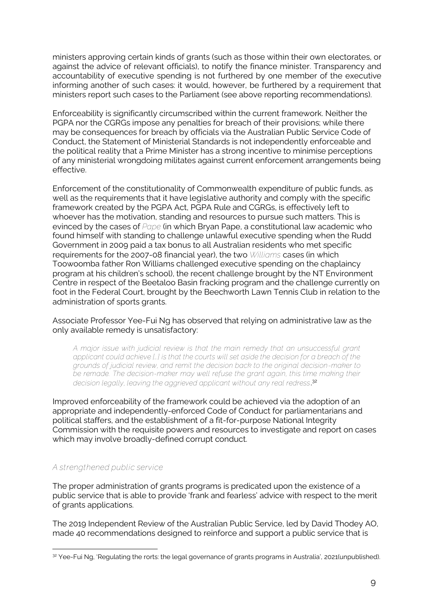ministers approving certain kinds of grants (such as those within their own electorates, or against the advice of relevant officials), to notify the finance minister. Transparency and accountability of executive spending is not furthered by one member of the executive informing another of such cases: it would, however, be furthered by a requirement that ministers report such cases to the Parliament (see above reporting recommendations).

Enforceability is significantly circumscribed within the current framework. Neither the PGPA nor the CGRGs impose any penalties for breach of their provisions; while there may be consequences for breach by officials via the Australian Public Service Code of Conduct, the Statement of Ministerial Standards is not independently enforceable and the political reality that a Prime Minister has a strong incentive to minimise perceptions of any ministerial wrongdoing militates against current enforcement arrangements being effective.

Enforcement of the constitutionality of Commonwealth expenditure of public funds, as well as the requirements that it have legislative authority and comply with the specific framework created by the PGPA Act, PGPA Rule and CGRGs, is effectively left to whoever has the motivation, standing and resources to pursue such matters. This is evinced by the cases of *Pape* (in which Bryan Pape, a constitutional law academic who found himself with standing to challenge unlawful executive spending when the Rudd Government in 2009 paid a tax bonus to all Australian residents who met specific requirements for the 2007-08 financial year), the two *Williams* cases (in which Toowoomba father Ron Williams challenged executive spending on the chaplaincy program at his children's school), the recent challenge brought by the NT Environment Centre in respect of the Beetaloo Basin fracking program and the challenge currently on foot in the Federal Court, brought by the Beechworth Lawn Tennis Club in relation to the administration of sports grants.

Associate Professor Yee-Fui Ng has observed that relying on administrative law as the only available remedy is unsatisfactory:

*A major issue with judicial review is that the main remedy that an unsuccessful grant applicant could achieve […] is that the courts will set aside the decision for a breach of the grounds of judicial review, and remit the decision back to the original decision-maker to*  be remade. The decision-maker may well refuse the grant again, this time making their *decision legally, leaving the aggrieved applicant without any real redress*. 32

Improved enforceability of the framework could be achieved via the adoption of an appropriate and independently-enforced Code of Conduct for parliamentarians and political staffers, and the establishment of a fit-for-purpose National Integrity Commission with the requisite powers and resources to investigate and report on cases which may involve broadly-defined corrupt conduct.

# *A strengthened public service*

The proper administration of grants programs is predicated upon the existence of a public service that is able to provide 'frank and fearless' advice with respect to the merit of grants applications.

The 2019 Independent Review of the Australian Public Service, led by David Thodey AO, made 40 recommendations designed to reinforce and support a public service that is

<sup>32</sup> Yee-Fui Ng, 'Regulating the rorts: the legal governance of grants programs in Australia', 2021(unpublished).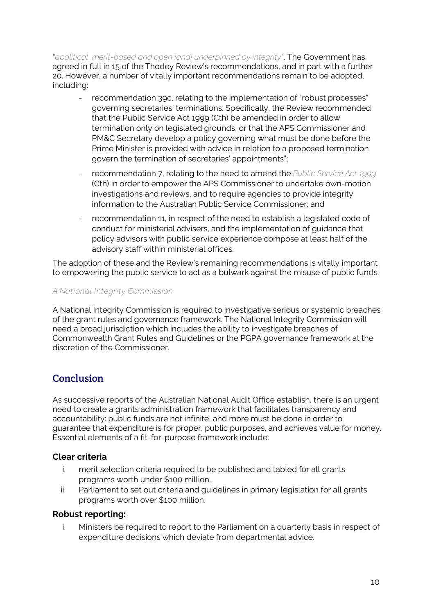"*apolitical, merit-based and open [and] underpinned by integrity*". The Government has agreed in full in 15 of the Thodey Review's recommendations, and in part with a further 20. However, a number of vitally important recommendations remain to be adopted, including:

- recommendation 39c, relating to the implementation of "robust processes" governing secretaries' terminations. Specifically, the Review recommended that the Public Service Act 1999 (Cth) be amended in order to allow termination only on legislated grounds, or that the APS Commissioner and PM&C Secretary develop a policy governing what must be done before the Prime Minister is provided with advice in relation to a proposed termination govern the termination of secretaries' appointments";
- recommendation 7, relating to the need to amend the *Public Service Act 1999* (Cth) in order to empower the APS Commissioner to undertake own-motion investigations and reviews, and to require agencies to provide integrity information to the Australian Public Service Commissioner; and
- recommendation 11, in respect of the need to establish a legislated code of conduct for ministerial advisers, and the implementation of guidance that policy advisors with public service experience compose at least half of the advisory staff within ministerial offices.

The adoption of these and the Review's remaining recommendations is vitally important to empowering the public service to act as a bulwark against the misuse of public funds.

# *A National Integrity Commission*

A National Integrity Commission is required to investigative serious or systemic breaches of the grant rules and governance framework. The National Integrity Commission will need a broad jurisdiction which includes the ability to investigate breaches of Commonwealth Grant Rules and Guidelines or the PGPA governance framework at the discretion of the Commissioner.

# **Conclusion**

As successive reports of the Australian National Audit Office establish, there is an urgent need to create a grants administration framework that facilitates transparency and accountability: public funds are not infinite, and more must be done in order to guarantee that expenditure is for proper, public purposes, and achieves value for money. Essential elements of a fit-for-purpose framework include:

# **Clear criteria**

- i. merit selection criteria required to be published and tabled for all grants programs worth under \$100 million.
- ii. Parliament to set out criteria and guidelines in primary legislation for all grants programs worth over \$100 million.

# **Robust reporting:**

i. Ministers be required to report to the Parliament on a quarterly basis in respect of expenditure decisions which deviate from departmental advice.